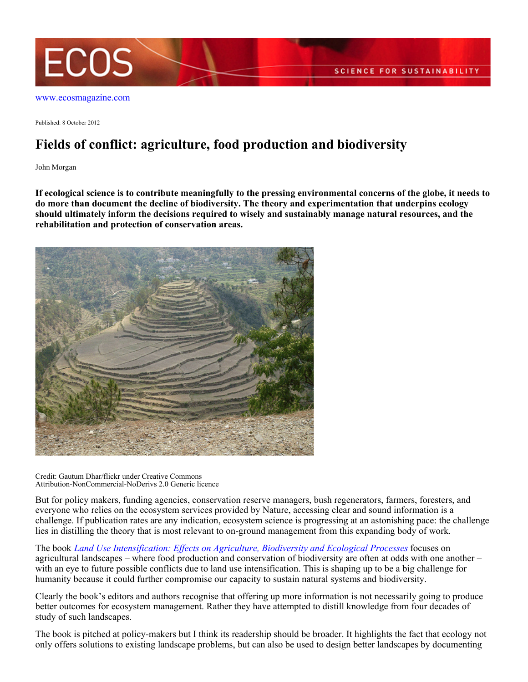

[www.ecosmagazine.com](http://www.ecosmagazine.com)

Published: 8 October 2012

## **Fields of conflict: agriculture, food production and biodiversity**

John Morgan

**If ecological science is to contribute meaningfully to the pressing environmental concerns of the globe, it needs to do more than document the decline of biodiversity. The theory and experimentation that underpins ecology should ultimately inform the decisions required to wisely and sustainably manage natural resources, and the rehabilitation and protection of conservation areas.**



Credit: Gautum Dhar/flickr under Creative Commons Attribution-NonCommercial-NoDerivs 2.0 Generic licence

But for policy makers, funding agencies, conservation reserve managers, bush regenerators, farmers, foresters, and everyone who relies on the ecosystem services provided by Nature, accessing clear and sound information is a challenge. If publication rates are any indication, ecosystem science is progressing at an astonishing pace: the challenge lies in distilling the theory that is most relevant to on-ground management from this expanding body of work.

The book *[Land Use Intensification: Effects on Agriculture, Biodiversity and Ecological Processes](http://www.publish.csiro.au/pid/6808.htm)* focuses on agricultural landscapes – where food production and conservation of biodiversity are often at odds with one another – with an eve to future possible conflicts due to land use intensification. This is shaping up to be a big challenge for humanity because it could further compromise our capacity to sustain natural systems and biodiversity.

Clearly the book's editors and authors recognise that offering up more information is not necessarily going to produce better outcomes for ecosystem management. Rather they have attempted to distill knowledge from four decades of study of such landscapes.

The book is pitched at policy-makers but I think its readership should be broader. It highlights the fact that ecology not only offers solutions to existing landscape problems, but can also be used to design better landscapes by documenting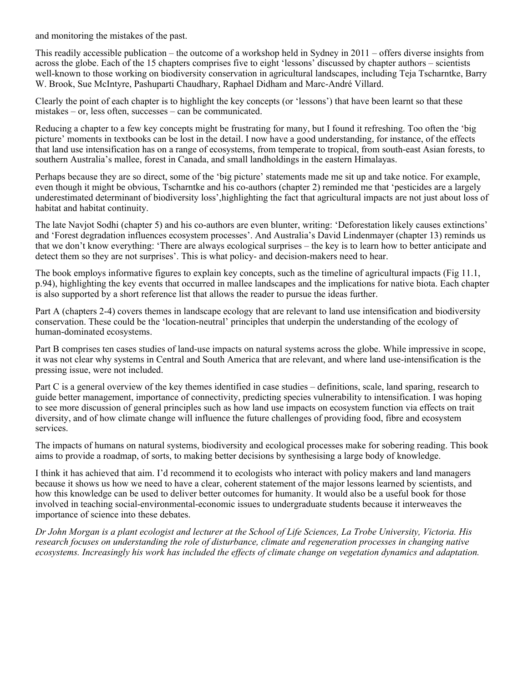and monitoring the mistakes of the past.

This readily accessible publication – the outcome of a workshop held in Sydney in 2011 – offers diverse insights from across the globe. Each of the 15 chapters comprises five to eight 'lessons' discussed by chapter authors – scientists well-known to those working on biodiversity conservation in agricultural landscapes, including Teja Tscharntke, Barry W. Brook, Sue McIntyre, Pashuparti Chaudhary, Raphael Didham and Marc-André Villard.

Clearly the point of each chapter is to highlight the key concepts (or 'lessons') that have been learnt so that these mistakes – or, less often, successes – can be communicated.

Reducing a chapter to a few key concepts might be frustrating for many, but I found it refreshing. Too often the 'big picture' moments in textbooks can be lost in the detail. I now have a good understanding, for instance, of the effects that land use intensification has on a range of ecosystems, from temperate to tropical, from south-east Asian forests, to southern Australia's mallee, forest in Canada, and small landholdings in the eastern Himalayas.

Perhaps because they are so direct, some of the 'big picture' statements made me sit up and take notice. For example, even though it might be obvious, Tscharntke and his co-authors (chapter 2) reminded me that 'pesticides are a largely underestimated determinant of biodiversity loss',highlighting the fact that agricultural impacts are not just about loss of habitat and habitat continuity.

The late Navjot Sodhi (chapter 5) and his co-authors are even blunter, writing: 'Deforestation likely causes extinctions' and 'Forest degradation influences ecosystem processes'. And Australia's David Lindenmayer (chapter 13) reminds us that we don't know everything: 'There are always ecological surprises – the key is to learn how to better anticipate and detect them so they are not surprises'. This is what policy- and decision-makers need to hear.

The book employs informative figures to explain key concepts, such as the timeline of agricultural impacts (Fig 11.1, p.94), highlighting the key events that occurred in mallee landscapes and the implications for native biota. Each chapter is also supported by a short reference list that allows the reader to pursue the ideas further.

Part A (chapters 2-4) covers themes in landscape ecology that are relevant to land use intensification and biodiversity conservation. These could be the 'location-neutral' principles that underpin the understanding of the ecology of human-dominated ecosystems.

Part B comprises ten cases studies of land-use impacts on natural systems across the globe. While impressive in scope, it was not clear why systems in Central and South America that are relevant, and where land use-intensification is the pressing issue, were not included.

Part C is a general overview of the key themes identified in case studies – definitions, scale, land sparing, research to guide better management, importance of connectivity, predicting species vulnerability to intensification. I was hoping to see more discussion of general principles such as how land use impacts on ecosystem function via effects on trait diversity, and of how climate change will influence the future challenges of providing food, fibre and ecosystem services.

The impacts of humans on natural systems, biodiversity and ecological processes make for sobering reading. This book aims to provide a roadmap, of sorts, to making better decisions by synthesising a large body of knowledge.

I think it has achieved that aim. I'd recommend it to ecologists who interact with policy makers and land managers because it shows us how we need to have a clear, coherent statement of the major lessons learned by scientists, and how this knowledge can be used to deliver better outcomes for humanity. It would also be a useful book for those involved in teaching social-environmental-economic issues to undergraduate students because it interweaves the importance of science into these debates.

*Dr John Morgan is a plant ecologist and lecturer at the School of Life Sciences, La Trobe University, Victoria. His research focuses on understanding the role of disturbance, climate and regeneration processes in changing native ecosystems. Increasingly his work has included the effects of climate change on vegetation dynamics and adaptation.*